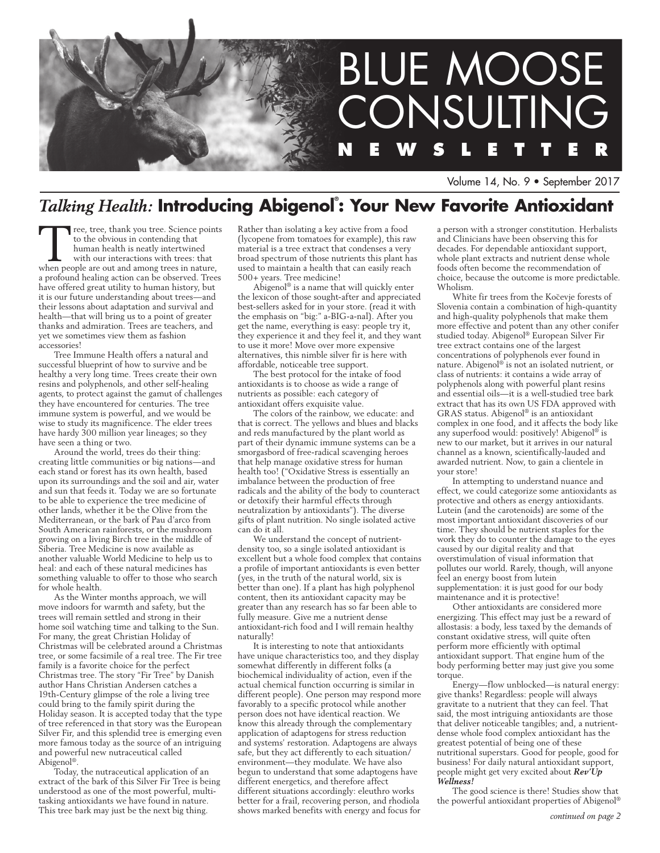

Volume 14, No. 9 • September 2017

# *Talking Health:* **Introducing Abigenol® : Your New Favorite Antioxidant**

Tree, tree, thank you tree. Science points<br>to the obvious in contending that<br>human health is neatly intertwined<br>with our interactions with trees: that<br>when people are out and among trees in nature, to the obvious in contending that human health is neatly intertwined with our interactions with trees: that a profound healing action can be observed. Trees have offered great utility to human history, but it is our future understanding about trees—and their lessons about adaptation and survival and health—that will bring us to a point of greater thanks and admiration. Trees are teachers, and yet we sometimes view them as fashion accessories!

Tree Immune Health offers a natural and successful blueprint of how to survive and be healthy a very long time. Trees create their own resins and polyphenols, and other self-healing agents, to protect against the gamut of challenges they have encountered for centuries. The tree immune system is powerful, and we would be wise to study its magnificence. The elder trees have hardy 300 million year lineages; so they have seen a thing or two.

Around the world, trees do their thing: creating little communities or big nations—and each stand or forest has its own health, based upon its surroundings and the soil and air, water and sun that feeds it. Today we are so fortunate to be able to experience the tree medicine of other lands, whether it be the Olive from the Mediterranean, or the bark of Pau d'arco from South American rainforests, or the mushroom growing on a living Birch tree in the middle of Siberia. Tree Medicine is now available as another valuable World Medicine to help us to heal: and each of these natural medicines has something valuable to offer to those who search for whole health.

As the Winter months approach, we will move indoors for warmth and safety, but the trees will remain settled and strong in their home soil watching time and talking to the Sun. For many, the great Christian Holiday of Christmas will be celebrated around a Christmas tree, or some facsimile of a real tree. The Fir tree family is a favorite choice for the perfect Christmas tree. The story "Fir Tree" by Danish author Hans Christian Andersen catches a 19th-Century glimpse of the role a living tree could bring to the family spirit during the Holiday season. It is accepted today that the type of tree referenced in that story was the European Silver Fir, and this splendid tree is emerging even more famous today as the source of an intriguing and powerful new nutraceutical called Abigenol®.

Today, the nutraceutical application of an extract of the bark of this Silver Fir Tree is being understood as one of the most powerful, multitasking antioxidants we have found in nature. This tree bark may just be the next big thing.

Rather than isolating a key active from a food (lycopene from tomatoes for example), this raw material is a tree extract that condenses a very broad spectrum of those nutrients this plant has used to maintain a health that can easily reach 500+ years. Tree medicine!

Abigenol® is a name that will quickly enter the lexicon of those sought-after and appreciated best-sellers asked for in your store. (read it with the emphasis on "big:" a-BIG-a-nal). After you get the name, everything is easy: people try it, they experience it and they feel it, and they want to use it more! Move over more expensive alternatives, this nimble silver fir is here with affordable, noticeable tree support.

The best protocol for the intake of food antioxidants is to choose as wide a range of nutrients as possible: each category of antioxidant offers exquisite value.

The colors of the rainbow, we educate: and that is correct. The yellows and blues and blacks and reds manufactured by the plant world as part of their dynamic immune systems can be a smorgasbord of free-radical scavenging heroes that help manage oxidative stress for human health too! ("Oxidative Stress is essentially an imbalance between the production of free radicals and the ability of the body to counteract or detoxify their harmful effects through neutralization by antioxidants"). The diverse gifts of plant nutrition. No single isolated active can do it all.

We understand the concept of nutrientdensity too, so a single isolated antioxidant is excellent but a whole food complex that contains a profile of important antioxidants is even better (yes, in the truth of the natural world, six is better than one). If a plant has high polyphenol content, then its antioxidant capacity may be greater than any research has so far been able to fully measure. Give me a nutrient dense antioxidant-rich food and I will remain healthy naturally!

It is interesting to note that antioxidants have unique characteristics too, and they display somewhat differently in different folks (a biochemical individuality of action, even if the actual chemical function occurring is similar in different people). One person may respond more favorably to a specific protocol while another person does not have identical reaction. We know this already through the complementary application of adaptogens for stress reduction and systems' restoration. Adaptogens are always safe, but they act differently to each situation/ environment—they modulate. We have also begun to understand that some adaptogens have different energetics, and therefore affect different situations accordingly: eleuthro works better for a frail, recovering person, and rhodiola shows marked benefits with energy and focus for

a person with a stronger constitution. Herbalists and Clinicians have been observing this for decades. For dependable antioxidant support, whole plant extracts and nutrient dense whole foods often become the recommendation of choice, because the outcome is more predictable. Wholism.

White fir trees from the Kočevje forests of Slovenia contain a combination of high-quantity and high-quality polyphenols that make them more effective and potent than any other conifer studied today. Abigenol® European Silver Fir tree extract contains one of the largest concentrations of polyphenols ever found in nature. Abigenol® is not an isolated nutrient, or class of nutrients: it contains a wide array of polyphenols along with powerful plant resins and essential oils—it is a well-studied tree bark extract that has its own US FDA approved with GRAS status. Abigenol® is an antioxidant complex in one food, and it affects the body like any superfood would: positively! Abigenol® is new to our market, but it arrives in our natural channel as a known, scientifically-lauded and awarded nutrient. Now, to gain a clientele in your store!

In attempting to understand nuance and effect, we could categorize some antioxidants as protective and others as energy antioxidants. Lutein (and the carotenoids) are some of the most important antioxidant discoveries of our time. They should be nutrient staples for the work they do to counter the damage to the eyes caused by our digital reality and that overstimulation of visual information that pollutes our world. Rarely, though, will anyone feel an energy boost from lutein supplementation: it is just good for our body maintenance and it is protective!

Other antioxidants are considered more energizing. This effect may just be a reward of allostasis: a body, less taxed by the demands of constant oxidative stress, will quite often perform more efficiently with optimal antioxidant support. That engine hum of the body performing better may just give you some torque.

Energy—flow unblocked—is natural energy: give thanks! Regardless: people will always gravitate to a nutrient that they can feel. That said, the most intriguing antioxidants are those that deliver noticeable tangibles; and, a nutrientdense whole food complex antioxidant has the greatest potential of being one of these nutritional superstars. Good for people, good for business! For daily natural antioxidant support, people might get very excited about *Rev'Up Wellness!*

The good science is there! Studies show that the powerful antioxidant properties of Abigenol®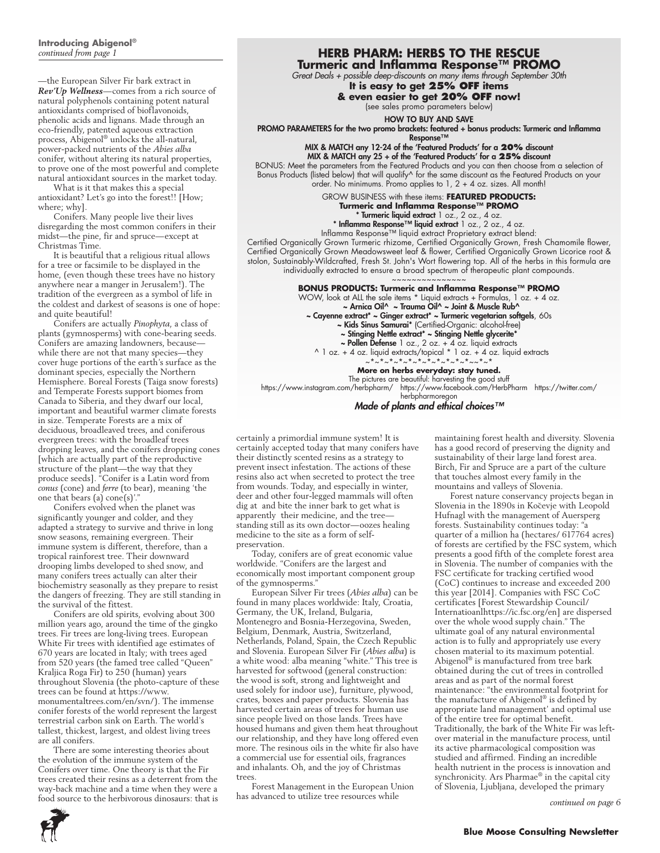# **Introducing Abigenol®**

—the European Silver Fir bark extract in *Rev'Up Wellness*—comes from a rich source of natural polyphenols containing potent natural antioxidants comprised of bioflavonoids, phenolic acids and lignans. Made through an eco-friendly, patented aqueous extraction process, Abigenol® unlocks the all-natural, power-packed nutrients of the *Abies alba*  conifer, without altering its natural properties, to prove one of the most powerful and complete natural antioxidant sources in the market today.

What is it that makes this a special antioxidant? Let's go into the forest!! [How; where; why].

Conifers. Many people live their lives disregarding the most common conifers in their midst—the pine, fir and spruce—except at Christmas Time.

It is beautiful that a religious ritual allows for a tree or facsimile to be displayed in the home, (even though these trees have no history anywhere near a manger in Jerusalem!). The tradition of the evergreen as a symbol of life in the coldest and darkest of seasons is one of hope: and quite beautiful!

Conifers are actually *Pinophyta,* a class of plants (gymnosperms) with cone-bearing seeds. Conifers are amazing landowners, because while there are not that many species—they cover huge portions of the earth's surface as the dominant species, especially the Northern Hemisphere. Boreal Forests (Taiga snow forests) and Temperate Forests support biomes from Canada to Siberia, and they dwarf our local, important and beautiful warmer climate forests in size. Temperate Forests are a mix of deciduous, broadleaved trees, and coniferous evergreen trees: with the broadleaf trees dropping leaves, and the conifers dropping cones [which are actually part of the reproductive structure of the plant—the way that they produce seeds]. "Conifer is a Latin word from *conus* (cone) and *ferre* (to bear), meaning 'the one that bears (a) cone(s)'."

Conifers evolved when the planet was significantly younger and colder, and they adapted a strategy to survive and thrive in long snow seasons, remaining evergreen. Their immune system is different, therefore, than a tropical rainforest tree. Their downward drooping limbs developed to shed snow, and many conifers trees actually can alter their biochemistry seasonally as they prepare to resist the dangers of freezing. They are still standing in the survival of the fittest.

Conifers are old spirits, evolving about 300 million years ago, around the time of the gingko trees. Fir trees are long-living trees. European White Fir trees with identified age estimates of 670 years are located in Italy; with trees aged from 520 years (the famed tree called "Queen" Kraljica Roga Fir) to 250 (human) years throughout Slovenia (the photo-capture of these trees can be found at https://www. monumentaltrees.com/en/svn/). The immense conifer forests of the world represent the largest terrestrial carbon sink on Earth. The world's tallest, thickest, largest, and oldest living trees are all conifers.

There are some interesting theories about the evolution of the immune system of the Conifers over time. One theory is that the Fir trees created their resins as a deterrent from the way-back machine and a time when they were a food source to the herbivorous dinosaurs: that is

# *continued from page 1* **HERB PHARM: HERBS TO THE RESCUE**

**Turmeric and Inflamma Response™ PROMO**

*Great Deals + possible deep-discounts on many items through September 30th*  **It is easy to get 25% OFF items** 

**& even easier to get 20% OFF now!** 

(see sales promo parameters below)

HOW TO BUY AND SAVE

PROMO PARAMETERS for the two promo brackets: featured + bonus products: Turmeric and Inflamma

Response™ MIX & MATCH any 12-24 of the 'Featured Products' for a **20%** discount MIX & MATCH any 25 + of the 'Featured Products' for a **25%** discount

BONUS: Meet the parameters from the Featured Products and you can then choose from a selection of Bonus Products (listed below) that will qualify^ for the same discount as the Featured Products on your order. No minimums. Promo applies to 1, 2 + 4 oz. sizes. All month!

GROW BUSINESS with these items: **FEATURED PRODUCTS:**

**Turmeric and Inflamma Response™ PROMO** 

\* Turmeric liquid extract 1 oz., 2 oz., 4 oz.

\* Inflamma Response™ liquid extract 1 oz., 2 oz., 4 oz.

Inflamma Response™ liquid extract Proprietary extract blend: Certified Organically Grown Turmeric rhizome, Certified Organically Grown, Fresh Chamomile flower,

Certified Organically Grown Meadowsweet leaf & flower, Certified Organically Grown Licorice root & stolon, Sustainably-Wildcrafted, Fresh St. John's Wort flowering top. All of the herbs in this formula are individually extracted to ensure a broad spectrum of therapeutic plant compounds. ~~~~~~~~~~~~~~~

**BONUS PRODUCTS: Turmeric and Inflamma Response™ PROMO**

WOW, look at ALL the sale items \* Liquid extracts + Formulas, 1 oz. + 4 oz.

~ Arnica Oil^ ~ Trauma Oil^ ~ Joint & Muscle Rub^

~ Cayenne extract\* ~ Ginger extract\* ~ Turmeric vegetarian softgels, 60s

~ Kids Sinus Samurai\* (Certified-Organic: alcohol-free)

~ Stinging Nettle extract\* ~ Stinging Nettle glycerite\*

- ~ Pollen Defense 1 oz., 2 oz. + 4 oz. liquid extracts
- ^ 1 oz. + 4 oz. liquid extracts/topical \* 1 oz. + 4 oz. liquid extracts

#### ~\*~\*~\*~\*~\*~\*~\*~\*~\*~\*~\*~~\*~\* **More on herbs everyday: stay tuned.**

The pictures are beautiful: harvesting the good stuff https://www.instagram.com/herbpharm/ https://www.facebook.com/HerbPharm https://twitter.com/ herbpharmoregon

*Made of plants and ethical choices™*

certainly a primordial immune system! It is certainly accepted today that many conifers have their distinctly scented resins as a strategy to prevent insect infestation. The actions of these resins also act when secreted to protect the tree from wounds. Today, and especially in winter, deer and other four-legged mammals will often dig at and bite the inner bark to get what is apparently their medicine, and the tree standing still as its own doctor—oozes healing medicine to the site as a form of selfpreservation.

Today, conifers are of great economic value worldwide. "Conifers are the largest and economically most important component group of the gymnosperms."

European Silver Fir trees (*Abies alba*) can be found in many places worldwide: Italy, Croatia, Germany, the UK, Ireland, Bulgaria, Montenegro and Bosnia-Herzegovina, Sweden, Belgium, Denmark, Austria, Switzerland, Netherlands, Poland, Spain, the Czech Republic and Slovenia. European Silver Fir (*Abies alba*) is a white wood: alba meaning "white." This tree is harvested for softwood (general construction: the wood is soft, strong and lightweight and used solely for indoor use), furniture, plywood, crates, boxes and paper products. Slovenia has harvested certain areas of trees for human use since people lived on those lands. Trees have housed humans and given them heat throughout our relationship, and they have long offered even more. The resinous oils in the white fir also have a commercial use for essential oils, fragrances and inhalants. Oh, and the joy of Christmas trees.

Forest Management in the European Union has advanced to utilize tree resources while

maintaining forest health and diversity. Slovenia has a good record of preserving the dignity and sustainability of their large land forest area. Birch, Fir and Spruce are a part of the culture that touches almost every family in the mountains and valleys of Slovenia.

Forest nature conservancy projects began in Slovenia in the 1890s in Kočevje with Leopold Hufnagl with the management of Auersperg forests. Sustainability continues today: "a quarter of a million ha (hectares/ 617764 acres) of forests are certified by the FSC system, which presents a good fifth of the complete forest area in Slovenia. The number of companies with the FSC certificate for tracking certified wood (CoC) continues to increase and exceeded 200 this year [2014]. Companies with FSC CoC certificates [Forest Stewardship Council/ Internatioanlhttps://ic.fsc.org/en] are dispersed over the whole wood supply chain." The ultimate goal of any natural environmental action is to fully and appropriately use every chosen material to its maximum potential. Abigenol® is manufactured from tree bark obtained during the cut of trees in controlled areas and as part of the normal forest maintenance: "the environmental footprint for the manufacture of Abigenol® is defined by appropriate land management' and optimal use of the entire tree for optimal benefit. Traditionally, the bark of the White Fir was leftover material in the manufacture process, until its active pharmacological composition was studied and affirmed. Finding an incredible health nutrient in the process is innovation and synchronicity. Ars Pharmae® in the capital city of Slovenia, Ljubljana, developed the primary

*continued on page 6*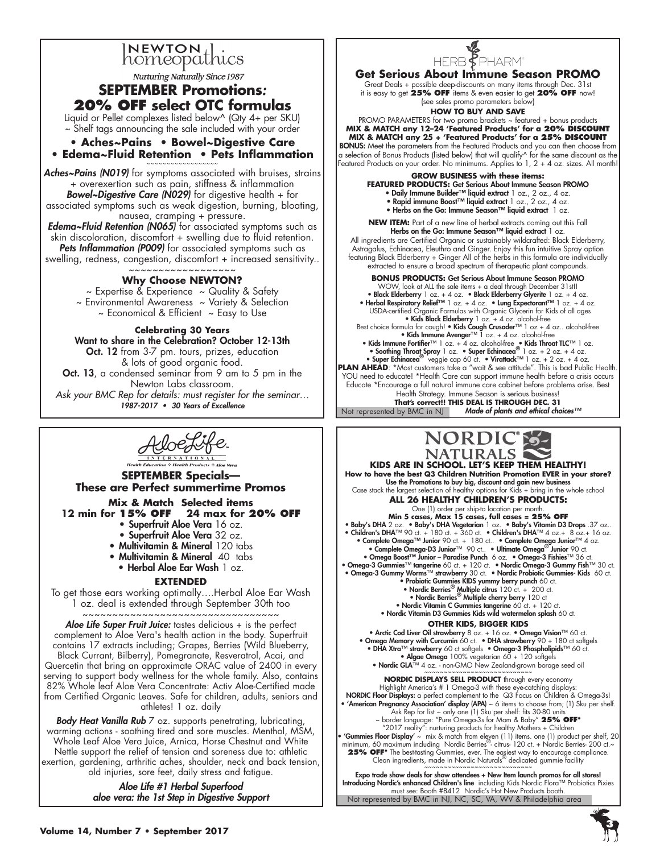

**Nurturing Naturally Since 1987** 

## **SEPTEMBER Promotions***:*  **20% OFF select OTC formulas**

Liquid or Pellet complexes listed below^ (Qty 4+ per SKU) ~ Shelf tags announcing the sale included with your order

**• Aches~Pains • Bowel~Digestive Care** 

#### **• Edema~Fluid Retention • Pets Inflammation** ~~~~~~~~~~~~~~~~~~

*Aches~Pains (N019)* for symptoms associated with bruises, strains + overexertion such as pain, stiffness & inflammation *Bowel~Digestive Care (N029)* for digestive health + for associated symptoms such as weak digestion, burning, bloating, nausea, cramping + pressure.

*Edema~Fluid Retention (N065)* for associated symptoms such as skin discoloration, discomfort + swelling due to fluid retention. Pets Inflammation (P009) for associated symptoms such as swelling, redness, congestion, discomfort + increased sensitivity..

#### ~~~~~~~~~~~~~~~~~~ **Why Choose NEWTON?**

 $\sim$  Expertise & Experience  $\sim$  Quality & Safety ~ Environmental Awareness ~ Variety & Selection  $\sim$  Economical & Efficient  $\sim$  Easy to Use

### **Celebrating 30 Years**

Want to share in the Celebration? October 12-13th **Oct. 12** from 3-7 pm. tours, prizes, education & lots of good organic food. Oct. 13, a condensed seminar from 9 am to 5 pm in the Newton Labs classroom. *Ask your BMC Rep for details: must register for the seminar…* 1987-2017 • 30 Years of Excellence



**SEPTEMBER Specials— These are Perfect summertime Promos Mix & Match Selected items**<br>12 min for 15% **OFF** 24 max for 2 **12 min for 15% off 24 max for 20% off •** Superfruit Aloe Vera 16 oz. **•** Superfruit Aloe Vera 32 oz. **•** Multivitamin & Mineral 120 tabs **•** Multivitamin & Mineral 40 tabs **•** Herbal Aloe Ear Wash 1 oz. **EXTENDED**

To get those ears working optimally….Herbal Aloe Ear Wash 1 oz. deal is extended through September 30th too

~~~~~~~~~~~~~~~~~~~~~~~~~~~~~~~~~

*Aloe Life Super Fruit Juice:* tastes delicious + is the perfect complement to Aloe Vera's health action in the body. Superfruit contains 17 extracts including; Grapes, Berries (Wild Blueberry, Black Currant, Bilberry), Pomegranate, Resveratrol, Acai, and Quercetin that bring an approximate ORAC value of 2400 in every serving to support body wellness for the whole family. Also, contains 82% Whole leaf Aloe Vera Concentrate: Activ Aloe-Certified made from Certified Organic Leaves. Safe for children, adults, seniors and athletes! 1 oz. daily

*Body Heat Vanilla Rub* 7 oz. supports penetrating, lubricating, warming actions - soothing tired and sore muscles. Menthol, MSM, Whole Leaf Aloe Vera Juice, Arnica, Horse Chestnut and White Nettle support the relief of tension and soreness due to: athletic exertion, gardening, arthritic aches, shoulder, neck and back tension, old injuries, sore feet, daily stress and fatigue.

> *Aloe Life #1 Herbal Superfood aloe vera: the 1st Step in Digestive Support*



## **Get Serious About Immune Season PROMO**

Great Deals + possible deep-discounts on many items through Dec. 31st it is easy to get **25% OFF** items & even easier to get **20% OFF** now! (see sales promo parameters below)

### **HOW TO BUY AND SAVE**

PROMO PARAMETERS for two promo brackets ~ featured + bonus products **MIX & MATCH any 12–24 'Featured Products' for a 20% discount MIX & MATCH any 25 + 'Featured Products' for a 25% discount BONUS:** Meet the parameters from the Featured Products and you can then choose from a selection of Bonus Products (listed below) that will qualify^ for the same discount as the Featured Products on your order. No minimums. Applies to 1, 2 + 4 oz. sizes. All month!

> **GROW BUSINESS with these items: FEATURED PRODUCTS:** Get Serious About Immune Season PROMO

• Daily Immune Builder™ liquid extract 1 oz., 2 oz., 4 oz.

- Rapid immune Boost™ liquid extract 1 oz., 2 oz., 4 oz.
- Herbs on the Go: Immune Season™ liquid extract 1 oz.

**NEW ITEM:** Part of a new line of herbal extracts coming out this Fall Herbs on the Go: Immune Season™ liquid extract 1 oz. All ingredients are Certified Organic or sustainably wildcrafted: Black Elderberry, Astragalus, Echinacea, Eleuthro and Ginger. Enjoy this fun intuitive Spray option featuring Black Elderberry + Ginger All of the herbs in this formula are individually

Not represented by BMC in NJ extracted to ensure a broad spectrum of therapeutic plant compounds. **BONUS PRODUCTS:** Get Serious About Immune Season PROMO WOW, look at ALL the sale items + a deal through December 31st!! • Black Elderberry 1 oz. + 4 oz. • Black Elderberry Glyerite 1 oz. + 4 oz.<br>• Herbal Respiratory Relie<sup>rt M</sup> 1 oz. + 4 oz. • Lung Expectorant<sup>76</sup> M oz. + 4 oz.<br>USDA-certified Organic Formulas with Organic Glycerin for Kids Best choice formula for cough! • Kids Cough Crusader™ 1 oz + 4 oz.. alcohol-free • Kids Immune Avenger™ 1 oz. + 4 oz. alcohol-free • Kids Immune Fortifier™ 1 oz. + 4 oz. alcohol-free • Kids Throat TLC™ 1 oz.<br>• Soothing Throat Spray 1 oz. • Super Echinacea® 1 oz. + 2 oz. + 4 oz.<br>• Super Echinacea® veggie cap 60 ct. • Virattack™ 1 oz. + 2 oz. + 4 oz. **PLAN AHEAD**: \*Most customers take a "wait & see attitude". This is bad Public Health. YOU need to educate! \*Health Care can support immune health before a crisis occurs Educate \*Encourage a full natural immune care cabinet before problems arise. Best Health Strategy. Immune Season is serious business! **That's correct!! THIS DEAL IS THROUGH DEC. 31**  *Made of plants and ethical choices™*



**KIDS are in School. Let's keep them Healthy! How to have the best Q3 Children Nutrition Promotion EVER in your store?** Use the Promotions to buy big, discount and gain new business<br>Case stack the largest selection of healthy options for Kids + bring in the whole school

**ALL 26 healthy Children's products:**  One (1) order per ship-to location per month. **Min 5 cases, Max 15 cases, full cases = 25% OFF**

• Baby's DHA 2 oz. • Baby's DHA Vegetarian 1 oz. • Baby's Vitamin D3 Drops .37 oz..<br>• Children's DHA™ 90 ct. + 180 ct. + 360 ct. • Children's DHA™ 4 oz.+ 8 oz.+ 16 oz. • Complete Omega™ Junior 90 ct. + 180 ct.. • Complete Omega Junior™ 4 oz.<br>• Complete Omega-D3 Junior™ 90 ct.. • Ultimate Omega® Junior 90 ct. • Omega Boost™ Junior – Paradise Punch 6 oz. • Omega-3 Fishies™ 36 ct.

• Omega-3 Gummies™ tangerine 60 ct. + 120 ct. • Nordic Omega-3 Gummy Fish™ 30 ct. • Omega-3 Gummy Worms™ strawberry 30 ct. • Nordic Probiotic Gummies- Kids 60 ct.

- 
- 
- Probiotic Gummies KIDS yummy berry punch 60 ct.<br>• Nordic Berries® Multiple citrus 120 ct. + 200 ct.<br>• Nordic Berries® Multiple cherry berry 120 ct<br>• Nordic Vitamin C Gummies tangerine 60 ct. + 120 ct.<br>• Nordic Vitamin D3
- 

#### **Other kids, bigger kids**

• Arctic Cod Liver Oil strawberry 8 oz. + 16 oz. • Omega Vision™ 60 ct.<br>• Omega Memory with Curcumin 60 ct. • DHA strawberry 90 + 180 ct softgels • DHA Xtra™ strawberry 60 ct softgels • Omega-3 Phospholipids™ 60 ct. • Algae Omega 100% vegetarian 60 + 120 softgels • Nordic GLA™ 4 oz. - non-GMO New Zealand-grown borage seed oil ~~~~~~~~~~~~~~~~~~~~~~~~~~~~ **NORDIC DISPLAYS SELL PRODUCT** through every economy

Highlight America's # 1 Omega-3 with these eye-catching displays NORDIC Floor Displays: a perfect complement to the Q3 Focus on Children & Omega-3s! • 'American Pregnancy Association' display (APA) ~ 6 items to choose from; (1) Sku per shelf. Ask Rep for list ~ only one (1) Sku per shelf: fits 30-80 units<br>
border language: "Pure Omega-3s for Mom & Baby" 25% OFF\*<br>
"2017 reality": nutruing products for healthy Mothers + Children<br>
"Gummies Floor Display" ~ mix & **25% OFF\*** The best-tasting Gummies, ever. The easiest way to encourage compliance. Clean ingredients, made in Nordic Naturals® dedicated gummie facility ~~~~~~~~~~~~~~~~~~~~~~~~~~~~

Not represented by BMC in NJ, NC, SC, VA, WV & Philadelphia area Expo trade show deals for show attendees + New Item launch promos for all stores!<br>Introducing Nordic's enhanced Children's line including Kids Nordic Flora™ Probiotics Pixies<br>must see: Booth #8412 Nordic's Hot New Product

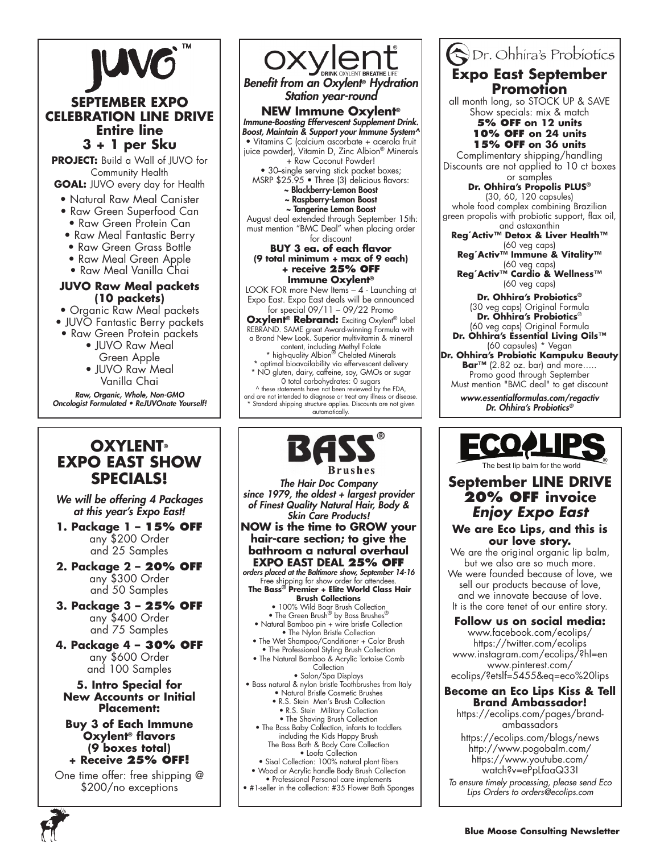

## **SEPTEMBER EXPO CELEBRATION LINE DRIVE Entire line 3 + 1 per Sku**

**PROJECT:** Build a Wall of JUVO for Community Health **GOAL:** JUVO every day for Health

• Natural Raw Meal Canister

- Raw Green Superfood Can
- Raw Green Protein Can • Raw Meal Fantastic Berry
- Raw Green Grass Bottle
- Raw Meal Green Apple
- Raw Meal Vanilla Chai

### **JUVO Raw Meal packets (10 packets)**

• Organic Raw Meal packets

- JUVO Fantastic Berry packets
- Raw Green Protein packets
	- JUVO Raw Meal Green Apple
	- JUVO Raw Meal Vanilla Chai

*Raw, Organic, Whole, Non-GMO*  Oncologist Formulated • ReJUVOnate Yourself!

# **Oxylent® EXPO EAST SHOW SPECIALS!**

*We will be offering 4 Packages*  at this year's Expo East!

**1. Package 1 – 15% OFF**  any \$200 Order and 25 Samples

**2. Package 2 – 20% OFF**  any \$300 Order and 50 Samples

**3. Package 3 – 25% OFF**  any \$400 Order and 75 Samples

**4. Package 4 – 30% OFF**  any \$600 Order and 100 Samples

**5. Intro Special for New Accounts or Initial Placement:**

**Buy 3 of Each Immune Oxylent® flavors (9 boxes total) + Receive 25% OFF!** 

One time offer: free shipping @ \$200/no exceptions



*Immune-Boosting Effervescent Supplement Drink. Boost, Maintain & Support your Immune System^* • Vitamins C (calcium ascorbate + acerola fruit juice powder), Vitamin D, Zinc Albion® Minerals

 August deal extended through September 15th: must mention "BMC Deal" when placing order

Expo East. Expo East deals will be announced

**Oxylent® Rebrand:** Exciting Oxylent® label AND. SAME great Award-winning Formula with a Brand New Look. Superior multivitamin & mineral

0 total carbohydrates: 0 sugars ^ these statements have not been reviewed by the FDA,

and are not intended to diagnose or treat any illness or disease. \* Standard shipping structure applies. Discounts are not given automatically.



# Or. Ohhira's Probiotics **Expo East September Promotion**

all month long, so STOCK UP & SAVE Show specials: mix & match

#### **5% off on 12 units 10% off on 24 units 15% off on 36 units**

Complimentary shipping/handling Discounts are not applied to 10 ct boxes

### or samples **Dr. Ohhira's Propolis PLUS®**

(30, 60, 120 capsules) whole food complex combining Brazilian green propolis with probiotic support, flax oil, and astaxanthin

**Reg´Activ™ Detox & Liver Health™** (60 veg caps)

**Reg´Activ™ Immune & Vitality™** (60 veg caps)

**Reg´Activ™ Cardio & Wellness™** (60 veg caps)

#### **Dr. Ohhira's Probiotics®** (30 veg caps) Original Formula **Dr. Ohhira's Probiotics**® (60 veg caps) Original Formula **Dr. Ohhira's Essential Living Oils™**

(60 capsules) \* Vegan **Dr. Ohhira's Probiotic Kampuku Beauty Bar™** (2.82 oz. bar) and more..... Promo good through September

Must mention "BMC deal" to get discount *www.essentialformulas.com/regactiv*

*Dr. Ohhira's Probiotics®*



# **September LINE DRIVE 20% OFF invoice** *Enjoy Expo East*

**We are Eco Lips, and this is our love story.** 

We are the original organic lip balm, but we also are so much more. We were founded because of love, we sell our products because of love, and we innovate because of love.

# It is the core tenet of our entire story. **Follow us on social media:**

www.facebook.com/ecolips/ https://twitter.com/ecolips www.instagram.com/ecolips/?hl=en www.pinterest.com/ ecolips/?etslf=5455&eq=eco%20lips

## **Become an Eco Lips Kiss & Tell Brand Ambassador!**

https://ecolips.com/pages/brandambassadors

https://ecolips.com/blogs/news http://www.pogobalm.com/ https://www.youtube.com/ watch?v=ePpLfaaQ33I

*To ensure timely processing, please send Eco Lips Orders to orders@ecolips.com*

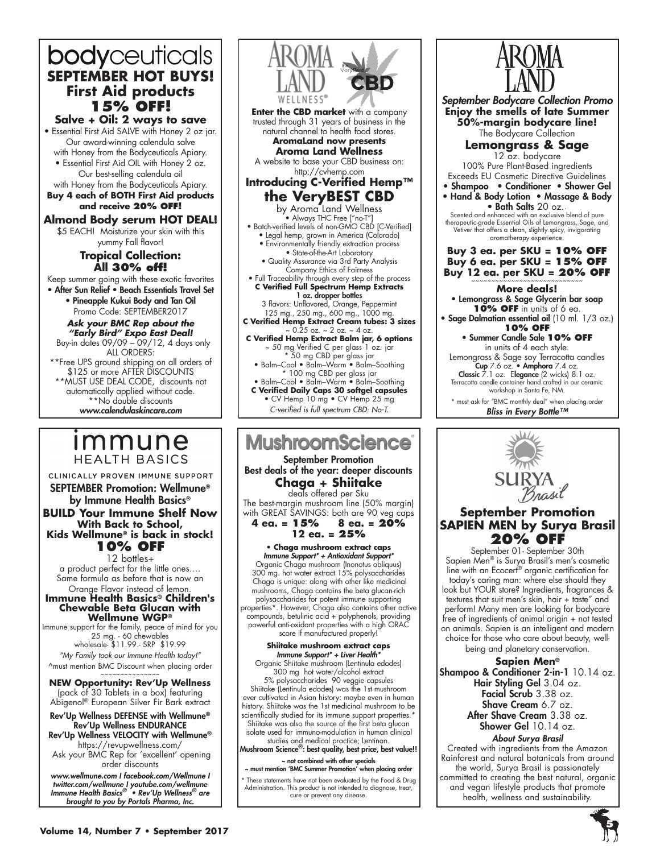# bodyceuticals **SEPTEMBER HOT BUYS! First Aid products 15% off!**

**Salve + Oil: 2 ways to save** • Essential First Aid SALVE with Honey 2 oz jar. Our award-winning calendula salve

with Honey from the Bodyceuticals Apiary. • Essential First Aid OIL with Honey 2 oz. Our best-selling calendula oil

with Honey from the Bodyceuticals Apiary. **Buy 4 each of BOTH First Aid products and receive 20% OFF!**

## **Almond Body serum HOT DEAL!**

\$5 EACH! Moisturize your skin with this yummy Fall flavor!

## **Tropical Collection: All 30% off!**

Keep summer going with these exotic favorites • After Sun Relief • Beach Essentials Travel Set • Pineapple Kukui Body and Tan Oil Promo Code: SEPTEMBER2017

#### *Ask your BMC Rep about the "Early Bird" Expo East Deal!*

 Buy-in dates 09/09 – 09/12, 4 days only ALL ORDERS:

\*\*Free UPS ground shipping on all orders of \$125 or more AFTER DISCOUNTS \*\*MUST USE DEAL CODE, discounts not automatically applied without code. \*\*No double discounts *www.calendulaskincare.com*

# <u>Immune</u> **HEALTH BASICS**

CLINICALLY PROVEN IMMUNE SUPPORT SEPTEMBER Promotion: Wellmune® by Immune Health Basics® **BUILD Your Immune Shelf Now With Back to School, Kids Wellmune® is back in stock! 10% OFF**

12 bottles+

a product perfect for the little ones…. Same formula as before that is now an Orange Flavor instead of lemon. **Immune Health Basics® Children's** 

**Chewable Beta Glucan with Wellmune WGP**®

Immune support for the family, peace of mind for you 25 mg. - 60 chewables wholesale- \$11.99.- SRP \$19.99

*"My Family took our Immune Health today!"* ^must mention BMC Discount when placing order

~~~~~~~~~~~~~~~ **NEW Opportunity: Rev'Up Wellness**  (pack of 30 Tablets in a box) featuring

Abigenol® European Silver Fir Bark extract Rev'Up Wellness DEFENSE with Wellmune®

Rev'Up Wellness ENDURANCE Rev'Up Wellness VELOCITY with Wellmune®

https://revupwellness.com/ Ask your BMC Rep for 'excellent' opening

order discounts *www.wellmune.com I facebook.com/Wellmune I twitter.com/wellmune I youtube.com/wellmune Immune Health Basics®* • Rev'Up Wellness*® are brought to you by Portals Pharma, Inc.*



\* 50 mg CBD per glass jar • Balm–Cool • Balm–Warm • Balm–Soothing \* 100 mg CBD per glass jar

• Balm–Cool • Balm–Warm • Balm–Soothing **C Verified Daily Caps 30 softgel capsules**

• CV Hemp 10 mg • CV Hemp 25 mg *C-verified is full spectrum CBD: No-T.*

# **MushroomScience**

#### September Promotion Best deals of the year: deeper discounts **Chaga + Shiitake**

deals offered per Sku The best-margin mushroom line (50% margin) with GREAT SAVINGS: both are 90 veg caps<br>**4 eq. = 15% 8 eq. = 20% 4 ea. = 15% 8 ea. = 20%** 

**12 ea. = 25%**

**• Chaga mushroom extract caps** Immune Support\* + Antioxidant Support\* Organic Chaga mushroom (Inonotus obliquus) 300 mg. hot water extract 15% polysaccharides Chaga is unique: along with other like medicinal mushrooms, Chaga contains the beta glucan-rich polysaccharides for potent immune supporting properties\*. However, Chaga also contains other active compounds, betulinic acid + polyphenols, providing powerful anti-oxidant properties with a high ORAC score if manufactured properly!

**Shiitake mushroom extract caps** *Immune Support\* + Liver Health\**

Organic Shiitake mushroom (Lentinula edodes) 300 mg hot water/alcohol extract

5% polysaccharides 90 veggie capsules Shiitake (Lentinula edodes) was the 1st mushroom ever cultivated in Asian history: maybe even in human history. Shiitake was the 1st medicinal mushroom to be scientifically studied for its immune support properties.\* Shiitake was also the source of the first beta glucan

isolate used for immuno-modulation in human clinical studies and medical practice; Lentinan.

Mushroom Science®: best quality, best price, best value!! ~ not combined with other specials

~ must mention 'BMC Summer Promotion' when placing order

These statements have not been evaluated by the Food & Drug Administration. This product is not intended to diagnose, treat, cure or prevent any disease.



*September Bodycare Collection Promo* **Enjoy the smells of late Summer 50%-margin bodycare line!** The Bodycare Collection **Lemongrass & Sage** 12 oz. bodycare 100% Pure Plant-Based ingredients Exceeds EU Cosmetic Directive Guidelines • Shampoo • Conditioner • Shower Gel • Hand & Body Lotion • Massage & Body • Bath Salts 20 oz.. Scented and enhanced with an exclusive blend of pure therapeutic-grade Essential Oils of Lemongrass, Sage, and Vetiver that offers a clean, slightly spicy, invigorating aromatherapy experie **Buy 3 ea. per SKU = 10% OFF Buy 6 ea. per SKU = 15% OFF Buy 12 ea. per SKU = 20% OFF** 

**More deals!** • Lemongrass & Sage Glycerin bar soap **10% OFF** in units of 6 ea. • Sage Dalmatian essential oil (10 ml. 1/3 oz.)

- **10% OFF**
	- Summer Candle Sale **10% OFF** in units of 4 each style.

Lemongrass & Sage soy Terracotta candles Cup 7.6 oz. • Amphora 7.4 oz.

**Classic** 7.1 oz. E**legance** (2 wicks) 8.1 oz. Terracotta candle container hand crafted in our ceramic workshop in Santa Fe, NM.

must ask for "BMC monthly deal" when placing order *Bliss in Every Bottle™*



## **September Promotion SAPIEN MEN by Surya Brasil 20% OFF**

September 01- September 30th Sapien Men® is Surya Brasil's men's cosmetic line with an Ecocert® organic certification for today's caring man: where else should they look but YOUR store? Ingredients, fragrances & textures that suit men's skin, hair + taste" and perform! Many men are looking for bodycare free of ingredients of animal origin + not tested on animals. Sapien is an intelligent and modern choice for those who care about beauty, wellbeing and planetary conservation.

**Sapien Men®** Shampoo & Conditioner 2-in-1 10.14 oz. Hair Styling Gel 3.04 oz. Facial Scrub 3.38 oz. Shave Cream 6.7 oz. After Shave Cream 3.38 oz. Shower Gel 10.14 oz.

*About Surya Brasil* Created with ingredients from the Amazon Rainforest and natural botanicals from around the world, Surya Brasil is passionately committed to creating the best natural, organic and vegan lifestyle products that promote health, wellness and sustainability.

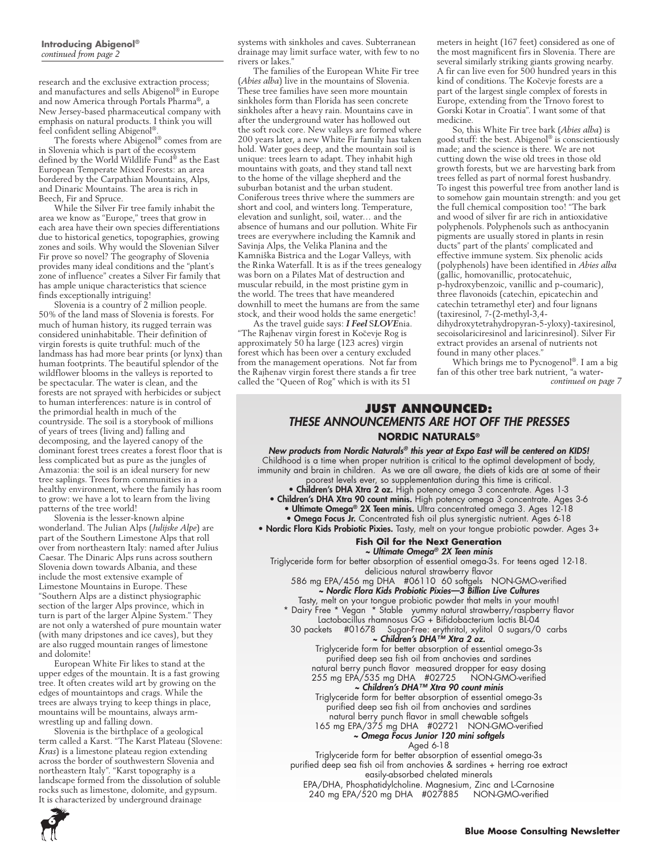research and the exclusive extraction process; and manufactures and sells Abigenol® in Europe and now America through Portals Pharma®, a New Jersey-based pharmaceutical company with emphasis on natural products. I think you will feel confident selling Abigenol®.

The forests where Abigenol® comes from are in Slovenia which is part of the ecosystem defined by the World Wildlife  $\operatorname{Fund}^{\circledast}$  as the East European Temperate Mixed Forests: an area bordered by the Carpathian Mountains, Alps, and Dinaric Mountains. The area is rich in Beech, Fir and Spruce.

While the Silver Fir tree family inhabit the area we know as "Europe," trees that grow in each area have their own species differentiations due to historical genetics, topographies, growing zones and soils. Why would the Slovenian Silver Fir prove so novel? The geography of Slovenia provides many ideal conditions and the "plant's zone of influence" creates a Silver Fir family that has ample unique characteristics that science finds exceptionally intriguing!

Slovenia is a country of 2 million people. 50% of the land mass of Slovenia is forests. For much of human history, its rugged terrain was considered uninhabitable. Their definition of virgin forests is quite truthful: much of the landmass has had more bear prints (or lynx) than human footprints. The beautiful splendor of the wildflower blooms in the valleys is reported to be spectacular. The water is clean, and the forests are not sprayed with herbicides or subject to human interferences: nature is in control of the primordial health in much of the countryside. The soil is a storybook of millions of years of trees (living and) falling and decomposing, and the layered canopy of the dominant forest trees creates a forest floor that is less complicated but as pure as the jungles of Amazonia: the soil is an ideal nursery for new tree saplings. Trees form communities in a healthy environment, where the family has room to grow: we have a lot to learn from the living patterns of the tree world!

Slovenia is the lesser-known alpine wonderland. The Julian Alps (*Julijske Alpe*) are part of the Southern Limestone Alps that roll over from northeastern Italy: named after Julius Caesar. The Dinaric Alps runs across southern Slovenia down towards Albania, and these include the most extensive example of Limestone Mountains in Europe. These "Southern Alps are a distinct physiographic section of the larger Alps province, which in turn is part of the larger Alpine System." They are not only a watershed of pure mountain water (with many dripstones and ice caves), but they are also rugged mountain ranges of limestone and dolomite!

European White Fir likes to stand at the upper edges of the mountain. It is a fast growing tree. It often creates wild art by growing on the edges of mountaintops and crags. While the trees are always trying to keep things in place, mountains will be mountains, always armwrestling up and falling down.

Slovenia is the birthplace of a geological term called a Karst. "The Karst Plateau (Slovene: *Kras*) is a limestone plateau region extending across the border of southwestern Slovenia and northeastern Italy". "Karst topography is a landscape formed from the dissolution of soluble rocks such as limestone, dolomite, and gypsum. It is characterized by underground drainage



The families of the European White Fir tree (*Abies alba*) live in the mountains of Slovenia. These tree families have seen more mountain sinkholes form than Florida has seen concrete sinkholes after a heavy rain. Mountains cave in after the underground water has hollowed out the soft rock core. New valleys are formed where 200 years later, a new White Fir family has taken hold. Water goes deep, and the mountain soil is unique: trees learn to adapt. They inhabit high mountains with goats, and they stand tall next to the home of the village shepherd and the suburban botanist and the urban student. Coniferous trees thrive where the summers are short and cool, and winters long. Temperature, elevation and sunlight, soil, water… and the absence of humans and our pollution. White Fir trees are everywhere including the Kamnik and Savinja Alps, the Velika Planina and the Kamniška Bistrica and the Logar Valleys, with the Rinka Waterfall. It is as if the trees genealogy was born on a Pilates Mat of destruction and muscular rebuild, in the most pristine gym in the world. The trees that have meandered downhill to meet the humans are from the same stock, and their wood holds the same energetic!

As the travel guide says: *I Feel* S*LOVE*nia. "The Rajhenav virgin forest in Kočevje Rog is approximately 50 ha large (123 acres) virgin forest which has been over a century excluded from the management operations. Not far from the Rajhenav virgin forest there stands a fir tree called the "Queen of Rog" which is with its 51

meters in height (167 feet) considered as one of the most magnificent firs in Slovenia. There are several similarly striking giants growing nearby. A fir can live even for 500 hundred years in this kind of conditions. The Kočevje forests are a part of the largest single complex of forests in Europe, extending from the Trnovo forest to Gorski Kotar in Croatia". I want some of that medicine.

So, this White Fir tree bark (*Abies alba*) is good stuff: the best. Abigenol® is conscientiously made; and the science is there. We are not cutting down the wise old trees in those old growth forests, but we are harvesting bark from trees felled as part of normal forest husbandry. To ingest this powerful tree from another land is to somehow gain mountain strength: and you get the full chemical composition too! "The bark and wood of silver fir are rich in antioxidative polyphenols. Polyphenols such as anthocyanin pigments are usually stored in plants in resin ducts" part of the plants' complicated and effective immune system. Six phenolic acids (polyphenols) have been identified in *Abies alba* (gallic, homovanillic, protocatehuic, p-hydroxybenzoic, vanillic and p-coumaric), three flavonoids (catechin, epicatechin and catechin tetramethyl eter) and four lignans (taxiresinol, 7-(2-methyl-3,4 dihydroxytetrahydropyran-5-yloxy)-taxiresinol, secoisolariciresinol and laricinresinol). Silver Fir extract provides an arsenal of nutrients not found in many other places.'

Which brings me to Pycnogenol®. I am a big fan of this other tree bark nutrient, "a water*continued on page 7*

## **Just Announced:** these announcements are hot off the presses **Nordic Naturals®**

*New products from Nordic Naturals®* this year at Expo East will be centered on KIDS! Childhood is a time when proper nutrition is critical to the optimal development of body, immunity and brain in children. As we are all aware, the diets of kids are at some of their poorest levels ever, so supplementation during this time is critical.

• Children's DHA Xtra 2 oz. High potency omega 3 concentrate. Ages 1-3 • Children's DHA Xtra 90 count minis. High potency omega 3 concentrate. Ages 3-6

• Ultimate Omega® 2X Teen minis. Ultra concentrated omega 3. Ages 12-18

• Omega Focus Jr. Concentrated fish oil plus synergistic nutrient. Ages 6-18

• Nordic Flora Kids Probiotic Pixies. Tasty, melt on your tongue probiotic powder. Ages 3+

#### **Fish Oil for the Next Generation**

~ Ultimate Omega*® 2X Teen minis* Triglyceride form for better absorption of essential omega-3s. For teens aged 12-18. delicious natural strawberry flavor

586 mg EPA/456 mg DHA #06110 60 softgels NON-GMO-verified ~ Nordic Flora Kids Probiotic Pixies—3 Billion Live Cultures

Tasty, melt on your tongue probiotic powder that melts in your mouth! \* Dairy Free \* Vegan \* Stable yummy natural strawberry/raspberry flavor

Lactobacillus rhamnosus GG + Bifidobacterium lactis BL-04 30 packets #01678 Sugar-Free: erythritol, xylitol 0 sugars/0 carbs

*~ Children's DHA™ Xtra 2 oz.*

Triglyceride form for better absorption of essential omega-3s purified deep sea fish oil from anchovies and sardines natural berry punch flavor measured dropper for easy dosing 255 mg EPA/535 mg DHA #02725 NON-GMO-verified

#### *~ Children's DHA™ Xtra 90 count minis*

Triglyceride form for better absorption of essential omega-3s purified deep sea fish oil from anchovies and sardines

natural berry punch flavor in small chewable softgels 165 mg EPA/375 mg DHA #02721 NON-GMO-verified

*~ Omega Focus Junior 120 mini softgels*

Aged 6-18

Triglyceride form for better absorption of essential omega-3s purified deep sea fish oil from anchovies & sardines + herring roe extract easily-absorbed chelated minerals

EPA/DHA, Phosphatidylcholine. Magnesium, Zinc and L-Carnosine 240 mg EPA/520 mg DHA #027885 NON-GMO-verified

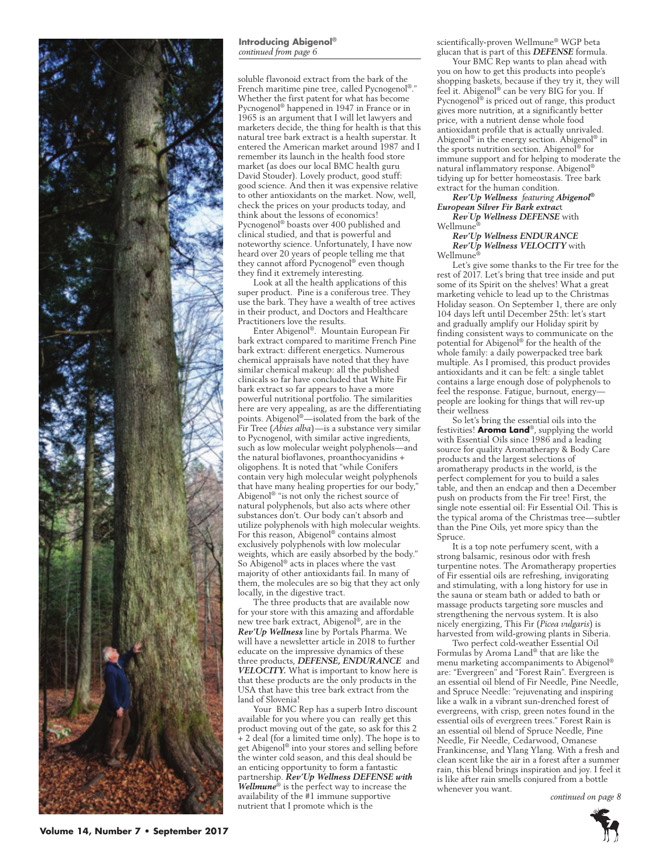

#### **Introducing Abigenol®** *continued from page 6*

soluble flavonoid extract from the bark of the French maritime pine tree, called Pycnogenol®." Whether the first patent for what has become Pycnogenol® happened in 1947 in France or in 1965 is an argument that I will let lawyers and marketers decide, the thing for health is that this natural tree bark extract is a health superstar. It entered the American market around 1987 and I remember its launch in the health food store market (as does our local BMC health guru David Stouder). Lovely product, good stuff: good science. And then it was expensive relative to other antioxidants on the market. Now, well, check the prices on your products today, and think about the lessons of economics! Pycnogenol® boasts over 400 published and clinical studied, and that is powerful and noteworthy science. Unfortunately, I have now heard over 20 years of people telling me that they cannot afford Pycnogenol® even though they find it extremely interesting.

Look at all the health applications of this super product. Pine is a coniferous tree. They use the bark. They have a wealth of tree actives in their product, and Doctors and Healthcare Practitioners love the results.

Enter Abigenol®. Mountain European Fir bark extract compared to maritime French Pine bark extract: different energetics. Numerous chemical appraisals have noted that they have similar chemical makeup: all the published clinicals so far have concluded that White Fir bark extract so far appears to have a more powerful nutritional portfolio. The similarities here are very appealing, as are the differentiating points. Abigenol<sup>®</sup>—isolated from the bark of the Fir Tree (*Abies alba*)—is a substance very similar to Pycnogenol, with similar active ingredients, such as low molecular weight polyphenols—and the natural bioflavones, proanthocyanidins + oligophens. It is noted that "while Conifers contain very high molecular weight polyphenols that have many healing properties for our body," Abigenol® "is not only the richest source of natural polyphenols, but also acts where other substances don't. Our body can't absorb and utilize polyphenols with high molecular weights. For this reason, Abigenol® contains almost exclusively polyphenols with low molecular weights, which are easily absorbed by the body." So Abigenol® acts in places where the vast majority of other antioxidants fail. In many of them, the molecules are so big that they act only locally, in the digestive tract.

The three products that are available now for your store with this amazing and affordable new tree bark extract, Abigenol®, are in the *Rev'Up Wellness* line by Portals Pharma. We will have a newsletter article in 2018 to further educate on the impressive dynamics of these three products, *DEFENSE, ENDURANCE* and *VELOCITY.* What is important to know here is that these products are the only products in the USA that have this tree bark extract from the land of Slovenia!

Your BMC Rep has a superb Intro discount available for you where you can really get this product moving out of the gate, so ask for this 2 + 2 deal (for a limited time only). The hope is to get Abigenol® into your stores and selling before the winter cold season, and this deal should be an enticing opportunity to form a fantastic partnership. *Rev'Up Wellness DEFENSE with Wellmune*® is the perfect way to increase the availability of the #1 immune supportive nutrient that I promote which is the

scientifically-proven Wellmune® WGP beta glucan that is part of this *DEFENSE* formula.

Your BMC Rep wants to plan ahead with you on how to get this products into people's shopping baskets, because if they try it, they will feel it. Abigenol® can be very BIG for you. If Pycnogenol<sup>®</sup> is priced out of range, this product gives more nutrition, at a significantly better price, with a nutrient dense whole food antioxidant profile that is actually unrivaled. Abigenol® in the energy section. Abigenol® in the sports nutrition section. Abigenol® for immune support and for helping to moderate the natural inflammatory response. Abigenol® tidying up for better homeostasis. Tree bark extract for the human condition.

*Rev'Up Wellness featuring Abigenol® European Silver Fir Bark extrac*t *Rev' Up Wellness DEFENSE* with

Wellmune

*Rev'Up Wellness ENDURANCE Rev'Up Wellness VELOCITY* with

Wellmune®

Let's give some thanks to the Fir tree for the rest of 2017. Let's bring that tree inside and put some of its Spirit on the shelves! What a great marketing vehicle to lead up to the Christmas Holiday season. On September 1, there are only 104 days left until December 25th: let's start and gradually amplify our Holiday spirit by finding consistent ways to communicate on the potential for Abigenol® for the health of the whole family: a daily powerpacked tree bark multiple. As I promised, this product provides antioxidants and it can be felt: a single tablet contains a large enough dose of polyphenols to feel the response. Fatigue, burnout, energy people are looking for things that will rev-up their wellness

So let's bring the essential oils into the festivities! **Aroma Land**®, supplying the world with Essential Oils since 1986 and a leading source for quality Aromatherapy & Body Care products and the largest selections of aromatherapy products in the world, is the perfect complement for you to build a sales table, and then an endcap and then a December push on products from the Fir tree! First, the single note essential oil: Fir Essential Oil. This is the typical aroma of the Christmas tree—subtler than the Pine Oils, yet more spicy than the Spruce.

It is a top note perfumery scent, with a strong balsamic, resinous odor with fresh turpentine notes. The Aromatherapy properties of Fir essential oils are refreshing, invigorating and stimulating, with a long history for use in the sauna or steam bath or added to bath or massage products targeting sore muscles and strengthening the nervous system. It is also nicely energizing, This Fir (*Picea vulgaris*) is harvested from wild-growing plants in Siberia.

Two perfect cold-weather Essential Oil Formulas by Aroma Land® that are like the menu marketing accompaniments to Abigenol® are: "Evergreen" and "Forest Rain". Evergreen is an essential oil blend of Fir Needle, Pine Needle, and Spruce Needle: "rejuvenating and inspiring like a walk in a vibrant sun-drenched forest of evergreens, with crisp, green notes found in the essential oils of evergreen trees." Forest Rain is an essential oil blend of Spruce Needle, Pine Needle, Fir Needle, Cedarwood, Omanese Frankincense, and Ylang Ylang. With a fresh and clean scent like the air in a forest after a summer rain, this blend brings inspiration and joy. I feel it is like after rain smells conjured from a bottle whenever you want.

*continued on page 8*